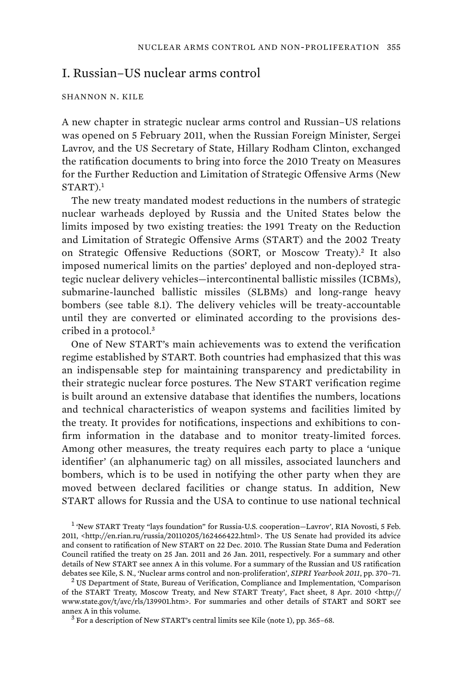# I. Russian–US nuclear arms control

#### SHANNON N. KILE

A new chapter in strategic nuclear arms control and Russian–US relations was opened on 5 February 2011, when the Russian Foreign Minister, Sergei Lavrov, and the US Secretary of State, Hillary Rodham Clinton, exchanged the ratification documents to bring into force the 2010 Treaty on Measures for the Further Reduction and Limitation of Strategic Offensive Arms (New START).<sup>1</sup>

The new treaty mandated modest reductions in the numbers of strategic nuclear warheads deployed by Russia and the United States below the limits imposed by two existing treaties: the 1991 Treaty on the Reduction and Limitation of Strategic Offensive Arms (START) and the 2002 Treaty on Strategic Offensive Reductions (SORT, or Moscow Treaty).<sup>2</sup> It also imposed numerical limits on the parties' deployed and non-deployed strategic nuclear delivery vehicles—intercontinental ballistic missiles (ICBMs), submarine-launched ballistic missiles (SLBMs) and long-range heavy bombers (see table 8.1). The delivery vehicles will be treaty-accountable until they are converted or eliminated according to the provisions described in a protocol.<sup>3</sup>

One of New START's main achievements was to extend the verification regime established by START. Both countries had emphasized that this was an indispensable step for maintaining transparency and predictability in their strategic nuclear force postures. The New START verification regime is built around an extensive database that identifies the numbers, locations and technical characteristics of weapon systems and facilities limited by the treaty. It provides for notifications, inspections and exhibitions to confirm information in the database and to monitor treaty-limited forces. Among other measures, the treaty requires each party to place a 'unique identifier' (an alphanumeric tag) on all missiles, associated launchers and bombers, which is to be used in notifying the other party when they are moved between declared facilities or change status. In addition, New START allows for Russia and the USA to continue to use national technical

<sup>1</sup> 'New START Treaty "lays foundation" for Russia-U.S. cooperation-Lavrov', RIA Novosti, 5 Feb. 2011, <http://en.rian.ru/russia/20110205/162466422.html>. The US Senate had provided its advice and consent to ratification of New START on 22 Dec. 2010. The Russian State Duma and Federation Council ratified the treaty on 25 Jan. 2011 and 26 Jan. 2011, respectively. For a summary and other details of New START see annex A in this volume. For a summary of the Russian and US ratification debates see Kile, S. N., 'Nuclear arms control and non-proliferation', *SIPRI Yearbook 2011*, pp. 370–71. <sup>2</sup>

<sup>&</sup>lt;sup>2</sup> US Department of State, Bureau of Verification, Compliance and Implementation, 'Comparison of the START Treaty, Moscow Treaty, and New START Treaty', Fact sheet, 8 Apr. 2010 <http:// www.state.gov/t/avc/rls/139901.htm>. For summaries and other details of START and SORT see annex A in this volume.

 $3$  For a description of New START's central limits see Kile (note 1), pp. 365–68.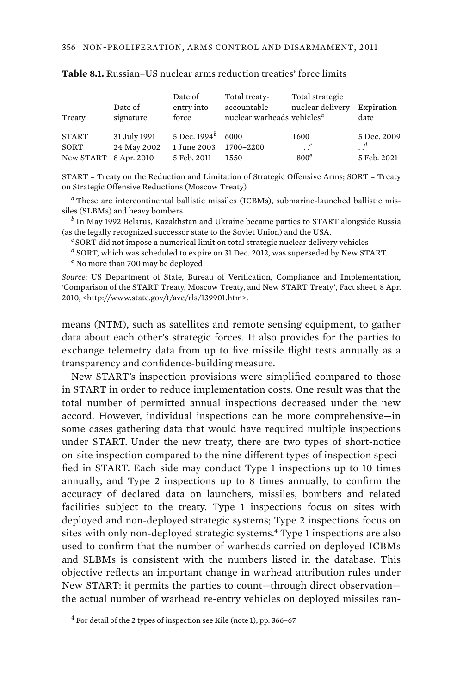| Treaty                                        | Date of<br>signature        | Date of<br>entry into<br>force                     | Total treaty-<br>accountable<br>nuclear warheads vehicles <sup>a</sup> | Total strategic<br>nuclear delivery   | Expiration<br>date                |
|-----------------------------------------------|-----------------------------|----------------------------------------------------|------------------------------------------------------------------------|---------------------------------------|-----------------------------------|
| <b>START</b><br>SORT<br>New START 8 Apr. 2010 | 31 July 1991<br>24 May 2002 | 5 Dec. $1994^b$ 6000<br>1 June 2003<br>5 Feb. 2011 | 1700-2200<br>1550                                                      | 1600<br>$\cdot$ .<br>800 <sup>e</sup> | 5 Dec. 2009<br>. .<br>5 Feb. 2021 |

**Table 8.1.** Russian–US nuclear arms reduction treaties' force limits

START = Treaty on the Reduction and Limitation of Strategic Offensive Arms; SORT = Treaty on Strategic Offensive Reductions (Moscow Treaty)

*a* These are intercontinental ballistic missiles (ICBMs), submarine-launched ballistic missiles (SLBMs) and heavy bombers

*b* In May 1992 Belarus, Kazakhstan and Ukraine became parties to START alongside Russia (as the legally recognized successor state to the Soviet Union) and the USA.

*<sup>c</sup>*SORT did not impose a numerical limit on total strategic nuclear delivery vehicles

*d* SORT, which was scheduled to expire on 31 Dec. 2012, was superseded by New START.

*e* No more than 700 may be deployed

*Source*: US Department of State, Bureau of Verification, Compliance and Implementation, 'Comparison of the START Treaty, Moscow Treaty, and New START Treaty', Fact sheet, 8 Apr. 2010, <http://www.state.gov/t/avc/rls/139901.htm>.

means (NTM), such as satellites and remote sensing equipment, to gather data about each other's strategic forces. It also provides for the parties to exchange telemetry data from up to five missile flight tests annually as a transparency and confidence-building measure.

New START's inspection provisions were simplified compared to those in START in order to reduce implementation costs. One result was that the total number of permitted annual inspections decreased under the new accord. However, individual inspections can be more comprehensive—in some cases gathering data that would have required multiple inspections under START. Under the new treaty, there are two types of short-notice on-site inspection compared to the nine different types of inspection specified in START. Each side may conduct Type 1 inspections up to 10 times annually, and Type 2 inspections up to 8 times annually, to confirm the accuracy of declared data on launchers, missiles, bombers and related facilities subject to the treaty. Type 1 inspections focus on sites with deployed and non-deployed strategic systems; Type 2 inspections focus on sites with only non-deployed strategic systems.<sup>4</sup> Type 1 inspections are also used to confirm that the number of warheads carried on deployed ICBMs and SLBMs is consistent with the numbers listed in the database. This objective reflects an important change in warhead attribution rules under New START: it permits the parties to count—through direct observation the actual number of warhead re-entry vehicles on deployed missiles ran-

 $4$  For detail of the 2 types of inspection see Kile (note 1), pp. 366–67.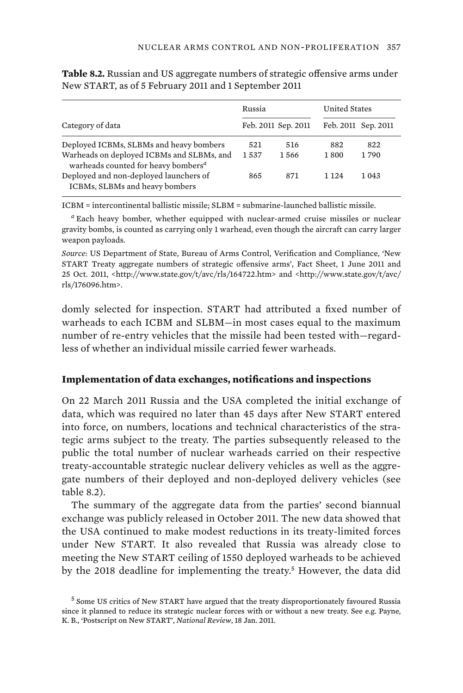|                                                                                              | Russia |                     | United States |                     |
|----------------------------------------------------------------------------------------------|--------|---------------------|---------------|---------------------|
| Category of data                                                                             |        | Feb. 2011 Sep. 2011 |               | Feb. 2011 Sep. 2011 |
| Deployed ICBMs, SLBMs and heavy bombers                                                      | 521    | 516                 | 882           | 822                 |
| Warheads on deployed ICBMs and SLBMs, and<br>warheads counted for heavy bombers <sup>a</sup> | 1537   | 1566                | 1800          | 1790                |
| Deployed and non-deployed launchers of<br>ICBMs, SLBMs and heavy bombers                     | 865    | 871                 | 1 1 2 4       | 1 0 4 3             |

**Table 8.2.** Russian and US aggregate numbers of strategic offensive arms under New START, as of 5 February 2011 and 1 September 2011

ICBM = intercontinental ballistic missile; SLBM = submarine-launched ballistic missile.

*a* Each heavy bomber, whether equipped with nuclear-armed cruise missiles or nuclear gravity bombs, is counted as carrying only 1 warhead, even though the aircraft can carry larger weapon payloads.

*Source*: US Department of State, Bureau of Arms Control, Verification and Compliance, 'New START Treaty aggregate numbers of strategic offensive arms', Fact Sheet, 1 June 2011 and 25 Oct. 2011, <http://www.state.gov/t/avc/rls/164722.htm> and <http://www.state.gov/t/avc/ rls/176096.htm>.

domly selected for inspection. START had attributed a fixed number of warheads to each ICBM and SLBM—in most cases equal to the maximum number of re-entry vehicles that the missile had been tested with—regardless of whether an individual missile carried fewer warheads.

## **Implementation of data exchanges, notifications and inspections**

On 22 March 2011 Russia and the USA completed the initial exchange of data, which was required no later than 45 days after New START entered into force, on numbers, locations and technical characteristics of the strategic arms subject to the treaty. The parties subsequently released to the public the total number of nuclear warheads carried on their respective treaty-accountable strategic nuclear delivery vehicles as well as the aggregate numbers of their deployed and non-deployed delivery vehicles (see table 8.2).

The summary of the aggregate data from the parties' second biannual exchange was publicly released in October 2011. The new data showed that the USA continued to make modest reductions in its treaty-limited forces under New START. It also revealed that Russia was already close to meeting the New START ceiling of 1550 deployed warheads to be achieved by the 2018 deadline for implementing the treaty.<sup>5</sup> However, the data did

<sup>&</sup>lt;sup>5</sup> Some US critics of New START have argued that the treaty disproportionately favoured Russia since it planned to reduce its strategic nuclear forces with or without a new treaty. See e.g. Payne, K. B., 'Postscript on New START', *National Review*, 18 Jan. 2011.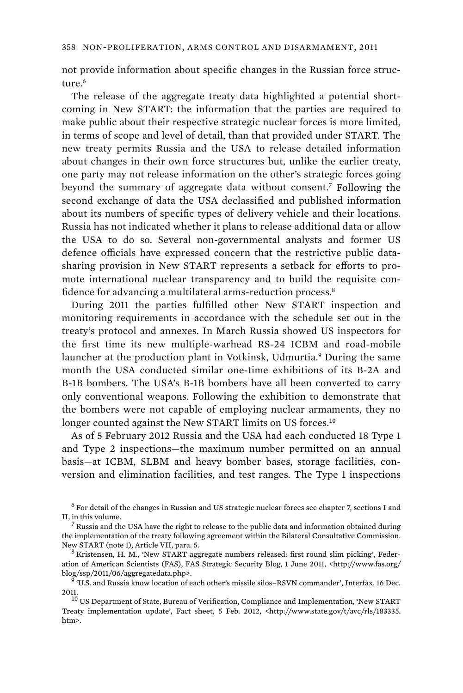not provide information about specific changes in the Russian force structure.<sup>6</sup>

The release of the aggregate treaty data highlighted a potential shortcoming in New START: the information that the parties are required to make public about their respective strategic nuclear forces is more limited, in terms of scope and level of detail, than that provided under START. The new treaty permits Russia and the USA to release detailed information about changes in their own force structures but, unlike the earlier treaty, one party may not release information on the other's strategic forces going beyond the summary of aggregate data without consent.<sup>7</sup> Following the second exchange of data the USA declassified and published information about its numbers of specific types of delivery vehicle and their locations. Russia has not indicated whether it plans to release additional data or allow the USA to do so. Several non-governmental analysts and former US defence officials have expressed concern that the restrictive public datasharing provision in New START represents a setback for efforts to promote international nuclear transparency and to build the requisite confidence for advancing a multilateral arms-reduction process.<sup>8</sup>

During 2011 the parties fulfilled other New START inspection and monitoring requirements in accordance with the schedule set out in the treaty's protocol and annexes. In March Russia showed US inspectors for the first time its new multiple-warhead RS-24 ICBM and road-mobile launcher at the production plant in Votkinsk, Udmurtia.<sup>9</sup> During the same month the USA conducted similar one-time exhibitions of its B-2A and B-1B bombers. The USA's B-1B bombers have all been converted to carry only conventional weapons. Following the exhibition to demonstrate that the bombers were not capable of employing nuclear armaments, they no longer counted against the New START limits on US forces.<sup>10</sup>

As of 5 February 2012 Russia and the USA had each conducted 18 Type 1 and Type 2 inspections—the maximum number permitted on an annual basis—at ICBM, SLBM and heavy bomber bases, storage facilities, conversion and elimination facilities, and test ranges. The Type 1 inspections

 $^6$  For detail of the changes in Russian and US strategic nuclear forces see chapter 7, sections I and II, in this volume.

 $7$  Russia and the USA have the right to release to the public data and information obtained during the implementation of the treaty following agreement within the Bilateral Consultative Commission. New START (note 1), Article VII, para. 5.

Kristensen, H. M., 'New START aggregate numbers released: first round slim picking', Federation of American Scientists (FAS), FAS Strategic Security Blog, 1 June 2011, <http://www.fas.org/ blog/ssp/2011/06/aggregatedata.php>. <sup>9</sup>

 <sup>&#</sup>x27;U.S. and Russia know location of each other's missile silos–RSVN commander', Interfax, 16 Dec. 2011.  $^{10}$  US Department of State, Bureau of Verification, Compliance and Implementation, 'New START

Treaty implementation update', Fact sheet, 5 Feb. 2012, <http://www.state.gov/t/avc/rls/183335. htm>.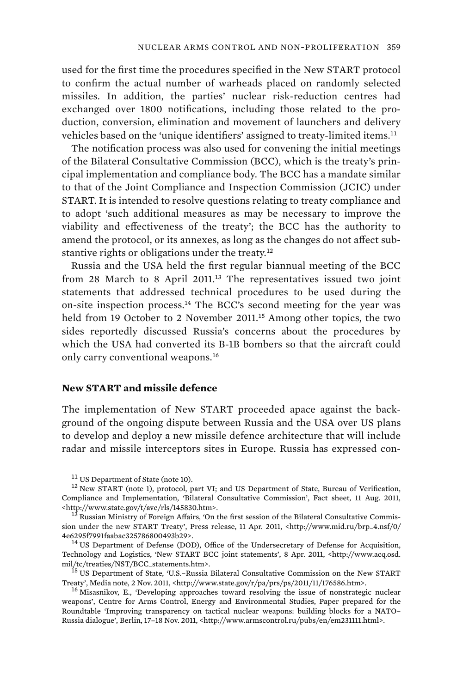used for the first time the procedures specified in the New START protocol to confirm the actual number of warheads placed on randomly selected missiles. In addition, the parties' nuclear risk-reduction centres had exchanged over 1800 notifications, including those related to the production, conversion, elimination and movement of launchers and delivery vehicles based on the 'unique identifiers' assigned to treaty-limited items.<sup>11</sup>

The notification process was also used for convening the initial meetings of the Bilateral Consultative Commission (BCC), which is the treaty's principal implementation and compliance body. The BCC has a mandate similar to that of the Joint Compliance and Inspection Commission (JCIC) under START. It is intended to resolve questions relating to treaty compliance and to adopt 'such additional measures as may be necessary to improve the viability and effectiveness of the treaty'; the BCC has the authority to amend the protocol, or its annexes, as long as the changes do not affect substantive rights or obligations under the treaty.<sup>12</sup>

Russia and the USA held the first regular biannual meeting of the BCC from 28 March to 8 April 2011.<sup>13</sup> The representatives issued two joint statements that addressed technical procedures to be used during the on-site inspection process.<sup>14</sup> The BCC's second meeting for the year was held from 19 October to 2 November 2011.<sup>15</sup> Among other topics, the two sides reportedly discussed Russia's concerns about the procedures by which the USA had converted its B-1B bombers so that the aircraft could only carry conventional weapons.<sup>16</sup>

### **New START and missile defence**

The implementation of New START proceeded apace against the background of the ongoing dispute between Russia and the USA over US plans to develop and deploy a new missile defence architecture that will include radar and missile interceptors sites in Europe. Russia has expressed con-

<sup>&</sup>lt;sup>11</sup> US Department of State (note 10).  $12$  New START (note 1), protocol, part VI; and US Department of State, Bureau of Verification, Compliance and Implementation, 'Bilateral Consultative Commission', Fact sheet, 11 Aug. 2011,  $$\rm  
13$ Russian Ministry of Foreign Affairs/0013.$  13 Russian Ministry of Foreign Affairs, 'On the first session of the Bilateral Consultative Commis-

sion under the new START Treaty', Press release, 11 Apr. 2011, <http://www.mid.ru/brp\_4.nsf/0/ 4e6295f7991faabac325786800493b29>.<br><sup>14</sup> US Department of Defense (DOD), Office of the Undersecretary of Defense for Acquisition,

Technology and Logistics, 'New START BCC joint statements', 8 Apr. 2011, <http://www.acq.osd. mil/tc/treaties/NST/BCC\_statements.htm>. 15 US Department of State, 'U.S.–Russia Bilateral Consultative Commission on the New START

Treaty', Media note, 2 Nov. 2011, <http://www.state.gov/r/pa/prs/ps/2011/11/176586.htm>. 16 Misasnikov, E., 'Developing approaches toward resolving the issue of nonstrategic nuclear

weapons', Centre for Arms Control, Energy and Environmental Studies, Paper prepared for the Roundtable 'Improving transparency on tactical nuclear weapons: building blocks for a NATO– Russia dialogue', Berlin, 17–18 Nov. 2011, <http://www.armscontrol.ru/pubs/en/em231111.html>.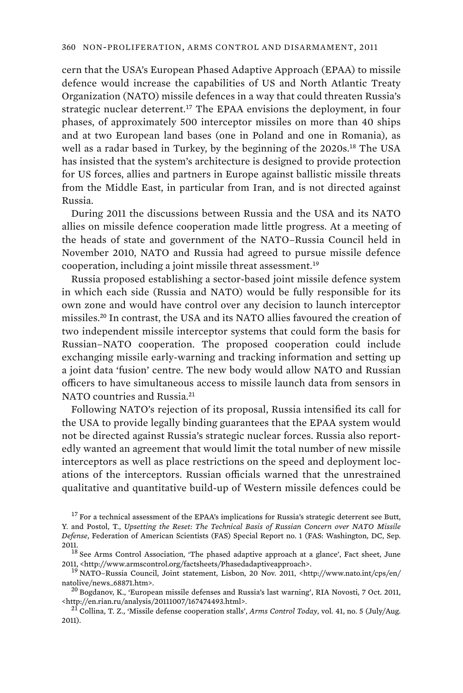cern that the USA's European Phased Adaptive Approach (EPAA) to missile defence would increase the capabilities of US and North Atlantic Treaty Organization (NATO) missile defences in a way that could threaten Russia's strategic nuclear deterrent.<sup>17</sup> The EPAA envisions the deployment, in four phases, of approximately 500 interceptor missiles on more than 40 ships and at two European land bases (one in Poland and one in Romania), as well as a radar based in Turkey, by the beginning of the 2020s.<sup>18</sup> The USA has insisted that the system's architecture is designed to provide protection for US forces, allies and partners in Europe against ballistic missile threats from the Middle East, in particular from Iran, and is not directed against Russia.

During 2011 the discussions between Russia and the USA and its NATO allies on missile defence cooperation made little progress. At a meeting of the heads of state and government of the NATO–Russia Council held in November 2010, NATO and Russia had agreed to pursue missile defence cooperation, including a joint missile threat assessment.<sup>19</sup>

Russia proposed establishing a sector-based joint missile defence system in which each side (Russia and NATO) would be fully responsible for its own zone and would have control over any decision to launch interceptor missiles.<sup>20</sup> In contrast, the USA and its NATO allies favoured the creation of two independent missile interceptor systems that could form the basis for Russian–NATO cooperation. The proposed cooperation could include exchanging missile early-warning and tracking information and setting up a joint data 'fusion' centre. The new body would allow NATO and Russian officers to have simultaneous access to missile launch data from sensors in NATO countries and Russia.<sup>21</sup>

Following NATO's rejection of its proposal, Russia intensified its call for the USA to provide legally binding guarantees that the EPAA system would not be directed against Russia's strategic nuclear forces. Russia also reportedly wanted an agreement that would limit the total number of new missile interceptors as well as place restrictions on the speed and deployment locations of the interceptors. Russian officials warned that the unrestrained qualitative and quantitative build-up of Western missile defences could be

 $17$  For a technical assessment of the EPAA's implications for Russia's strategic deterrent see Butt, Y. and Postol, T., *Upsetting the Reset: The Technical Basis of Russian Concern over NATO Missile Defense*, Federation of American Scientists (FAS) Special Report no. 1 (FAS: Washington, DC, Sep.

<sup>2011.</sup>  $^{18}$  See Arms Control Association, 'The phased adaptive approach at a glance', Fact sheet, June 2011, <http://www.armscontrol.org/factsheets/Phasedadaptiveapproach>. 19 NATO–Russia Council, Joint statement, Lisbon, 20 Nov. 2011, <http://www.nato.int/cps/en/

natolive/news\_68871.htm>.<br><sup>20</sup> Bogdanov, K., 'European missile defenses and Russia's last warning', RIA Novosti, 7 Oct. 2011,

<sup>&</sup>lt;http://en.rian.ru/analysis/20111007/167474493.html>. 21 Collina, T. Z., 'Missile defense cooperation stalls', *Arms Control Today*, vol. 41, no. 5 (July/Aug.

<sup>2011).</sup>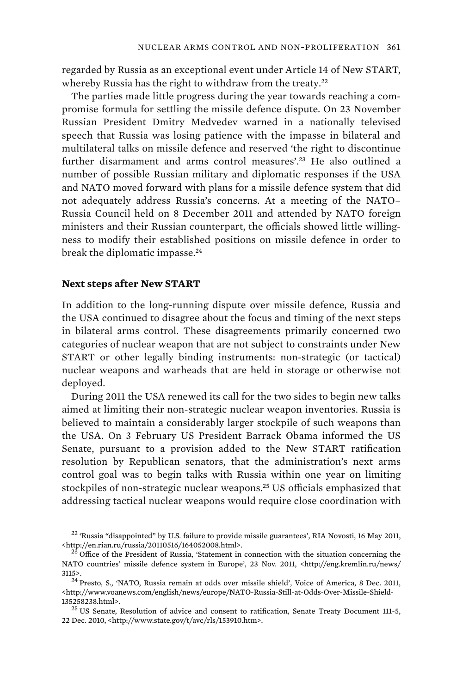regarded by Russia as an exceptional event under Article 14 of New START, whereby Russia has the right to withdraw from the treaty.<sup>22</sup>

The parties made little progress during the year towards reaching a compromise formula for settling the missile defence dispute. On 23 November Russian President Dmitry Medvedev warned in a nationally televised speech that Russia was losing patience with the impasse in bilateral and multilateral talks on missile defence and reserved 'the right to discontinue further disarmament and arms control measures'.<sup>23</sup> He also outlined a number of possible Russian military and diplomatic responses if the USA and NATO moved forward with plans for a missile defence system that did not adequately address Russia's concerns. At a meeting of the NATO– Russia Council held on 8 December 2011 and attended by NATO foreign ministers and their Russian counterpart, the officials showed little willingness to modify their established positions on missile defence in order to break the diplomatic impasse.<sup>24</sup>

### **Next steps after New START**

In addition to the long-running dispute over missile defence, Russia and the USA continued to disagree about the focus and timing of the next steps in bilateral arms control. These disagreements primarily concerned two categories of nuclear weapon that are not subject to constraints under New START or other legally binding instruments: non-strategic (or tactical) nuclear weapons and warheads that are held in storage or otherwise not deployed.

During 2011 the USA renewed its call for the two sides to begin new talks aimed at limiting their non-strategic nuclear weapon inventories. Russia is believed to maintain a considerably larger stockpile of such weapons than the USA. On 3 February US President Barrack Obama informed the US Senate, pursuant to a provision added to the New START ratification resolution by Republican senators, that the administration's next arms control goal was to begin talks with Russia within one year on limiting stockpiles of non-strategic nuclear weapons.<sup>25</sup> US officials emphasized that addressing tactical nuclear weapons would require close coordination with

<sup>22</sup> 'Russia "disappointed" by U.S. failure to provide missile guarantees', RIA Novosti, 16 May 2011,  $\frac{\text{th}}{23}$  Office of the President of Russia, 'Statement in connection with the situation concerning the  $\frac{23}{2}$  Office of the President of Russia, 'Statement in connection with the situation concerning the

NATO countries' missile defence system in Europe', 23 Nov. 2011, <http://eng.kremlin.ru/news/ 3115>.<br> $^{24}$  Presto, S., 'NATO, Russia remain at odds over missile shield', Voice of America, 8 Dec. 2011,

<sup>&</sup>lt;http://www.voanews.com/english/news/europe/NATO-Russia-Still-at-Odds-Over-Missile-Shield-135258238.html>. 25 US Senate, Resolution of advice and consent to ratification, Senate Treaty Document 111-5,

<sup>22</sup> Dec. 2010, <http://www.state.gov/t/avc/rls/153910.htm>.